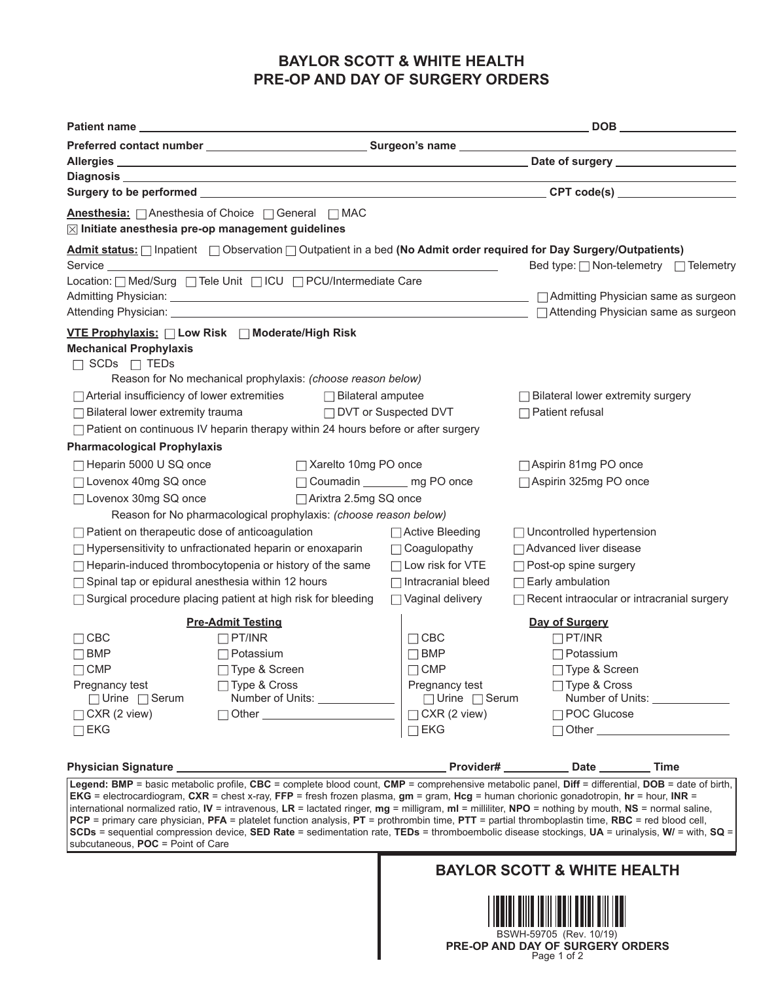## **BAYLOR SCOTT & WHITE HEALTH PRE-OP AND DAY OF SURGERY ORDERS**

| <b>Anesthesia:</b> △ Anesthesia of Choice △ General △ MAC<br>$\boxtimes$ Initiate anesthesia pre-op management guidelines                                                                                                                                                                                                                                                                                                                                                                                                                                                                                                                                                                                                                                                 |                                             |                                                   |  |  |
|---------------------------------------------------------------------------------------------------------------------------------------------------------------------------------------------------------------------------------------------------------------------------------------------------------------------------------------------------------------------------------------------------------------------------------------------------------------------------------------------------------------------------------------------------------------------------------------------------------------------------------------------------------------------------------------------------------------------------------------------------------------------------|---------------------------------------------|---------------------------------------------------|--|--|
| Admit status: <i>[confinity of Observation ]</i> Outpatient in a bed (No Admit order required for Day Surgery/Outpatients)                                                                                                                                                                                                                                                                                                                                                                                                                                                                                                                                                                                                                                                |                                             | Bed type:   Non-telemetry   Telemetry             |  |  |
| Location:   Med/Surg   Tele Unit   ICU   PCU/Intermediate Care                                                                                                                                                                                                                                                                                                                                                                                                                                                                                                                                                                                                                                                                                                            |                                             |                                                   |  |  |
|                                                                                                                                                                                                                                                                                                                                                                                                                                                                                                                                                                                                                                                                                                                                                                           |                                             |                                                   |  |  |
|                                                                                                                                                                                                                                                                                                                                                                                                                                                                                                                                                                                                                                                                                                                                                                           |                                             |                                                   |  |  |
| VTE Prophylaxis: Low Risk Moderate/High Risk<br><b>Mechanical Prophylaxis</b><br>$\Box$ SCDs $\Box$ TEDs<br>Reason for No mechanical prophylaxis: (choose reason below)                                                                                                                                                                                                                                                                                                                                                                                                                                                                                                                                                                                                   |                                             |                                                   |  |  |
| □ Arterial insufficiency of lower extremities □ Bilateral amputee                                                                                                                                                                                                                                                                                                                                                                                                                                                                                                                                                                                                                                                                                                         |                                             | □ Bilateral lower extremity surgery               |  |  |
| □ DVT or Suspected DVT<br>$\Box$ Bilateral lower extremity trauma                                                                                                                                                                                                                                                                                                                                                                                                                                                                                                                                                                                                                                                                                                         |                                             | $\Box$ Patient refusal                            |  |  |
| $\Box$ Patient on continuous IV heparin therapy within 24 hours before or after surgery                                                                                                                                                                                                                                                                                                                                                                                                                                                                                                                                                                                                                                                                                   |                                             |                                                   |  |  |
| <b>Pharmacological Prophylaxis</b>                                                                                                                                                                                                                                                                                                                                                                                                                                                                                                                                                                                                                                                                                                                                        |                                             |                                                   |  |  |
| □ Heparin 5000 U SQ once<br>□ Xarelto 10mg PO once                                                                                                                                                                                                                                                                                                                                                                                                                                                                                                                                                                                                                                                                                                                        |                                             | □ Aspirin 81mg PO once                            |  |  |
| □ Lovenox 40mg SQ once                                                                                                                                                                                                                                                                                                                                                                                                                                                                                                                                                                                                                                                                                                                                                    | □ Coumadin ________ mg PO once              | □ Aspirin 325mg PO once                           |  |  |
| □ Lovenox 30mg SQ once<br>□ Arixtra 2.5mg SQ once                                                                                                                                                                                                                                                                                                                                                                                                                                                                                                                                                                                                                                                                                                                         |                                             |                                                   |  |  |
| Reason for No pharmacological prophylaxis: (choose reason below)                                                                                                                                                                                                                                                                                                                                                                                                                                                                                                                                                                                                                                                                                                          |                                             |                                                   |  |  |
| □ Patient on therapeutic dose of anticoagulation                                                                                                                                                                                                                                                                                                                                                                                                                                                                                                                                                                                                                                                                                                                          | □ Active Bleeding                           | □ Uncontrolled hypertension                       |  |  |
| □ Hypersensitivity to unfractionated heparin or enoxaparin                                                                                                                                                                                                                                                                                                                                                                                                                                                                                                                                                                                                                                                                                                                | $\Box$ Coagulopathy                         | Advanced liver disease                            |  |  |
| □ Heparin-induced thrombocytopenia or history of the same                                                                                                                                                                                                                                                                                                                                                                                                                                                                                                                                                                                                                                                                                                                 | $\Box$ Low risk for VTE                     | □ Post-op spine surgery                           |  |  |
| □ Spinal tap or epidural anesthesia within 12 hours                                                                                                                                                                                                                                                                                                                                                                                                                                                                                                                                                                                                                                                                                                                       | $\Box$ Intracranial bleed                   | $\Box$ Early ambulation                           |  |  |
| □ Surgical procedure placing patient at high risk for bleeding                                                                                                                                                                                                                                                                                                                                                                                                                                                                                                                                                                                                                                                                                                            | □ Vaginal delivery                          | $\Box$ Recent intraocular or intracranial surgery |  |  |
|                                                                                                                                                                                                                                                                                                                                                                                                                                                                                                                                                                                                                                                                                                                                                                           |                                             |                                                   |  |  |
| <b>Pre-Admit Testing</b>                                                                                                                                                                                                                                                                                                                                                                                                                                                                                                                                                                                                                                                                                                                                                  |                                             | Day of Surgery                                    |  |  |
| $\Box$ CBC<br>$\Box$ PT/INR                                                                                                                                                                                                                                                                                                                                                                                                                                                                                                                                                                                                                                                                                                                                               | $\Box$ CBC                                  | $\Box$ PT/INR                                     |  |  |
| $\Box$ Potassium<br>$\Box$ BMP                                                                                                                                                                                                                                                                                                                                                                                                                                                                                                                                                                                                                                                                                                                                            | $\Box$ BMP                                  | $\Box$ Potassium                                  |  |  |
| □ Type & Screen<br>$\Box$ CMP<br>□ Type & Cross                                                                                                                                                                                                                                                                                                                                                                                                                                                                                                                                                                                                                                                                                                                           | $\Box$ CMP                                  | □ Type & Screen                                   |  |  |
| Pregnancy test<br>Number of Units: _____________<br>$\Box$ Urine $\Box$ Serum                                                                                                                                                                                                                                                                                                                                                                                                                                                                                                                                                                                                                                                                                             | Pregnancy test<br>$\Box$ Urine $\Box$ Serum | □ Type & Cross<br>Number of Units: _____________  |  |  |
| □ Other <u>____________________</u><br>$\Box$ CXR (2 view)                                                                                                                                                                                                                                                                                                                                                                                                                                                                                                                                                                                                                                                                                                                | $\Box$ CXR (2 view)                         | □ POC Glucose                                     |  |  |
| $\square$ EKG                                                                                                                                                                                                                                                                                                                                                                                                                                                                                                                                                                                                                                                                                                                                                             | $\Box$ EKG                                  | □ Other <u>_____________________</u>              |  |  |
|                                                                                                                                                                                                                                                                                                                                                                                                                                                                                                                                                                                                                                                                                                                                                                           |                                             |                                                   |  |  |
|                                                                                                                                                                                                                                                                                                                                                                                                                                                                                                                                                                                                                                                                                                                                                                           |                                             |                                                   |  |  |
| Legend: BMP = basic metabolic profile, CBC = complete blood count, CMP = comprehensive metabolic panel, Diff = differential, DOB = date of birth,<br><b>EKG</b> = electrocardiogram, CXR = chest x-ray, FFP = fresh frozen plasma, $qm = qram$ , Hcg = human chorionic gonadotropin, $hr = hour$ , INR =<br>international normalized ratio, IV = intravenous, LR = lactated ringer, $mg =$ milligram, $ml =$ milliliter, NPO = nothing by mouth, NS = normal saline,<br>PCP = primary care physician, PFA = platelet function analysis, PT = prothrombin time, PTT = partial thromboplastin time, RBC = red blood cell,<br>SCDs = sequential compression device, SED Rate = sedimentation rate, TEDs = thromboembolic disease stockings, UA = urinalysis, W/ = with, SQ = |                                             |                                                   |  |  |

subcutaneous, **POC** = Point of Care

## **BAYLOR SCOTT & WHITE HEALTH**



**PRE-OP AND DAY OF SURGERY ORDERS** Page 1 of 2